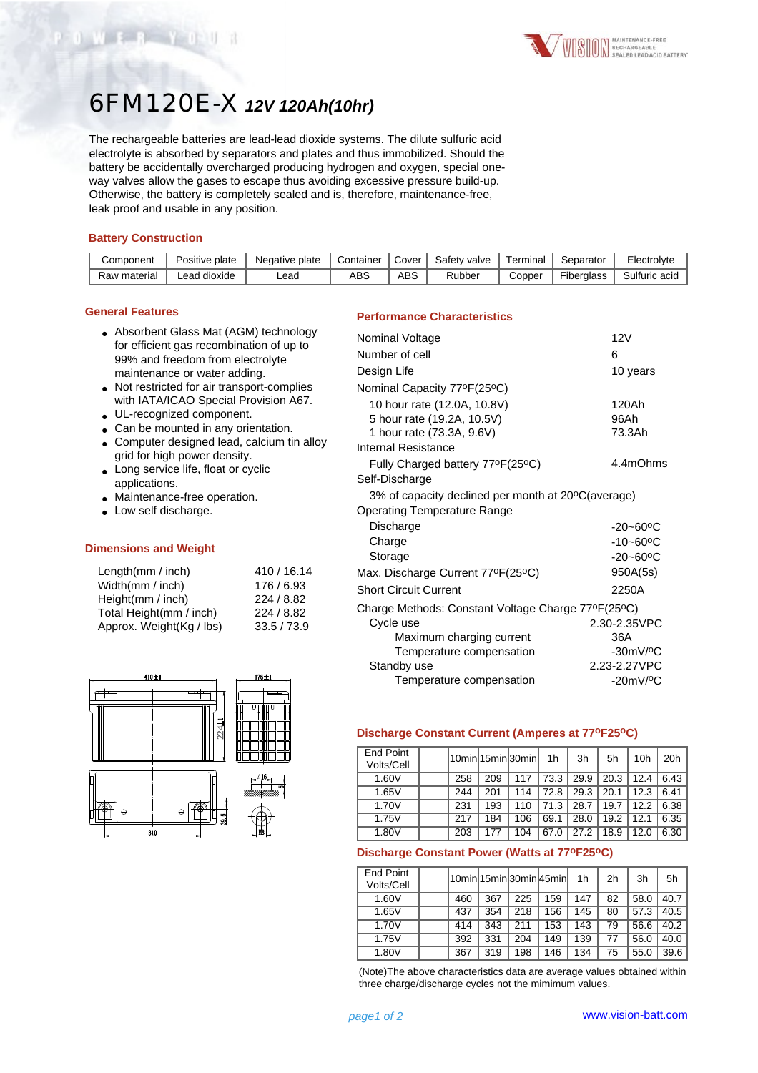# 6FM120E-X *12V 120Ah(10hr)*

The rechargeable batteries are lead-lead dioxide systems. The dilute sulfuric acid electrolyte is absorbed by separators and plates and thus immobilized. Should the battery be accidentally overcharged producing hydrogen and oxygen, special oneway valves allow the gases to escape thus avoiding excessive pressure build-up. Otherwise, the battery is completely sealed and is, therefore, maintenance-free, leak proof and usable in any position.

#### **Battery Construction**

WEB YETH

| Component    | Positive plate  | Negative plate | Container | Cover | Safety valve | ⊺erminal | Separator  | Electrolyte   |
|--------------|-----------------|----------------|-----------|-------|--------------|----------|------------|---------------|
| Raw material | dioxide<br>_ead | -ead           | ABS       | ABS   | Rubber       | Copper   | Fiberglass | Sulfuric acid |

#### **General Features**

| • Absorbent Glass Mat (AGM) technology   |
|------------------------------------------|
| for efficient gas recombination of up to |
| 99% and freedom from electrolyte         |
| maintenance or water adding.             |

- Not restricted for air transport-complies with IATA/ICAO Special Provision A67.
- UL-recognized component.
- Can be mounted in any orientation.
- Computer designed lead, calcium tin alloy grid for high power density.
- Long service life, float or cyclic applications.
- Maintenance-free operation.
- Low self discharge.

### **Dimensions and Weight**

| Length $(mm / inch)$     | 410 / 16.14 |
|--------------------------|-------------|
| Width(mm / inch)         | 176/6.93    |
| Height(mm / inch)        | 224/8.82    |
| Total Height(mm / inch)  | 224/8.82    |
| Approx. Weight(Kg / lbs) | 33.5 / 73.9 |



## **Performance Characteristics**

| Nominal Voltage                                    | 12V                       |
|----------------------------------------------------|---------------------------|
| Number of cell                                     | 6                         |
| Design Life                                        | 10 years                  |
| Nominal Capacity 77ºF(25°C)                        |                           |
| 10 hour rate (12.0A, 10.8V)                        | 120Ah                     |
| 5 hour rate (19.2A, 10.5V)                         | 96Ah                      |
| 1 hour rate (73.3A, 9.6V)                          | 73.3Ah                    |
| Internal Resistance                                |                           |
| Fully Charged battery 77°F(25°C)                   | 4.4mOhms                  |
| Self-Discharge                                     |                           |
| 3% of capacity declined per month at 20°C(average) |                           |
| <b>Operating Temperature Range</b>                 |                           |
| Discharge                                          | $-20 - 60$ <sup>o</sup> C |
| Charge                                             | $-10 - 60$ <sup>o</sup> C |
| Storage                                            | $-20 - 60$ <sup>o</sup> C |
| Max. Discharge Current 77ºF(25°C)                  | 950A(5s)                  |
| <b>Short Circuit Current</b>                       | 2250A                     |
| Charge Methods: Constant Voltage Charge 77°F(25°C) |                           |
| Cycle use                                          | 2.30-2.35VPC              |
| Maximum charging current                           | 36A                       |
| Temperature compensation                           | $-30mV$ / $°C$            |
| Standby use                                        | 2.23-2.27VPC              |
| Temperature compensation                           | $-20mV/°C$                |

# **Discharge Constant Current (Amperes at 77oF25oC)**

| End Point<br>Volts/Cell |     |     | 10min 15min 30min | 1h   | 3h   | 5h   | 10h  | 20h  |
|-------------------------|-----|-----|-------------------|------|------|------|------|------|
| 1.60V                   | 258 | 209 | 117               | 73.3 | 29.9 | 20.3 | 12.4 | 6.43 |
| 1.65V                   | 244 | 201 | 114               | 72.8 | 29.3 | 20.1 | 12.3 | 6.41 |
| 1.70V                   | 231 | 193 | 110               | 71.3 | 28.7 | 19.7 | 12.2 | 6.38 |
| 1.75V                   | 217 | 184 | 106               | 69.1 | 28.0 | 19.2 | 12.1 | 6.35 |
| 1.80V                   | 203 | 177 | 104               | 67.0 | 27.2 | 18.9 | 12.0 | 6.30 |

#### **Discharge Constant Power (Watts at 77oF25oC)**

| End Point<br>Volts/Cell |     |     |     | l10minl15minl30minl45minl | 1 <sub>h</sub> | 2h | 3h   | 5h   |
|-------------------------|-----|-----|-----|---------------------------|----------------|----|------|------|
| 1.60V                   | 460 | 367 | 225 | 159                       | 147            | 82 | 58.0 | 40.7 |
| 1.65V                   | 437 | 354 | 218 | 156                       | 145            | 80 | 57.3 | 40.5 |
| 1.70V                   | 414 | 343 | 211 | 153                       | 143            | 79 | 56.6 | 40.2 |
| 1.75V                   | 392 | 331 | 204 | 149                       | 139            | 77 | 56.0 | 40.0 |
| 1.80V                   | 367 | 319 | 198 | 146                       | 134            | 75 | 55.0 | 39.6 |

(Note)The above characteristics data are average values obtained within three charge/discharge cycles not the mimimum values.